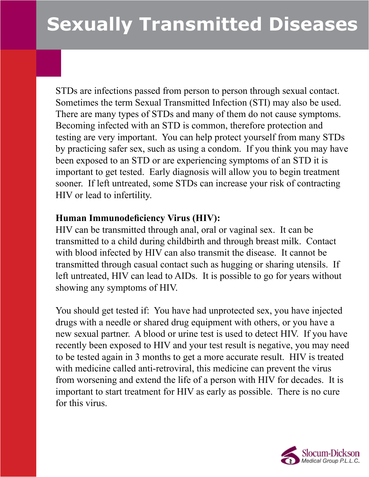STDs are infections passed from person to person through sexual contact. Sometimes the term Sexual Transmitted Infection (STI) may also be used. There are many types of STDs and many of them do not cause symptoms. Becoming infected with an STD is common, therefore protection and testing are very important. You can help protect yourself from many STDs by practicing safer sex, such as using a condom. If you think you may have been exposed to an STD or are experiencing symptoms of an STD it is important to get tested. Early diagnosis will allow you to begin treatment sooner. If left untreated, some STDs can increase your risk of contracting HIV or lead to infertility.

#### **Human Immunodeficiency Virus (HIV):**

HIV can be transmitted through anal, oral or vaginal sex. It can be transmitted to a child during childbirth and through breast milk. Contact with blood infected by HIV can also transmit the disease. It cannot be transmitted through casual contact such as hugging or sharing utensils. If left untreated, HIV can lead to AIDs. It is possible to go for years without showing any symptoms of HIV.

You should get tested if: You have had unprotected sex, you have injected drugs with a needle or shared drug equipment with others, or you have a new sexual partner. A blood or urine test is used to detect HIV. If you have recently been exposed to HIV and your test result is negative, you may need to be tested again in 3 months to get a more accurate result. HIV is treated with medicine called anti-retroviral, this medicine can prevent the virus from worsening and extend the life of a person with HIV for decades. It is important to start treatment for HIV as early as possible. There is no cure for this virus.

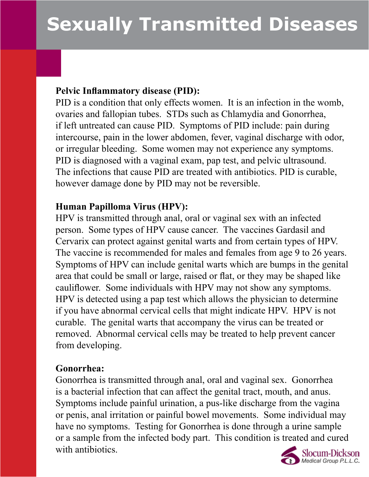## **Pelvic Inflammatory disease (PID):**

PID is a condition that only effects women. It is an infection in the womb, ovaries and fallopian tubes. STDs such as Chlamydia and Gonorrhea, if left untreated can cause PID. Symptoms of PID include: pain during intercourse, pain in the lower abdomen, fever, vaginal discharge with odor, or irregular bleeding. Some women may not experience any symptoms. PID is diagnosed with a vaginal exam, pap test, and pelvic ultrasound. The infections that cause PID are treated with antibiotics. PID is curable, however damage done by PID may not be reversible.

## **Human Papilloma Virus (HPV):**

HPV is transmitted through anal, oral or vaginal sex with an infected person. Some types of HPV cause cancer. The vaccines Gardasil and Cervarix can protect against genital warts and from certain types of HPV. The vaccine is recommended for males and females from age 9 to 26 years. Symptoms of HPV can include genital warts which are bumps in the genital area that could be small or large, raised or flat, or they may be shaped like cauliflower. Some individuals with HPV may not show any symptoms. HPV is detected using a pap test which allows the physician to determine if you have abnormal cervical cells that might indicate HPV. HPV is not curable. The genital warts that accompany the virus can be treated or removed. Abnormal cervical cells may be treated to help prevent cancer from developing.

#### **Gonorrhea:**

Gonorrhea is transmitted through anal, oral and vaginal sex. Gonorrhea is a bacterial infection that can affect the genital tract, mouth, and anus. Symptoms include painful urination, a pus-like discharge from the vagina or penis, anal irritation or painful bowel movements. Some individual may have no symptoms. Testing for Gonorrhea is done through a urine sample or a sample from the infected body part. This condition is treated and cured with antibiotics.

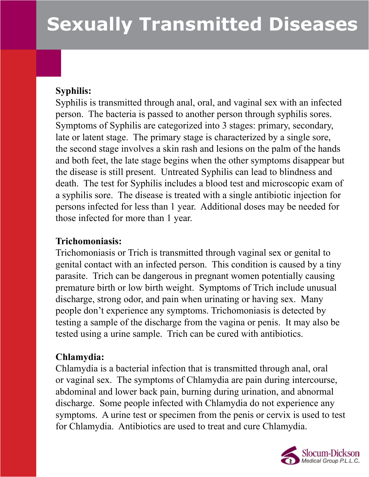## **Syphilis:**

Syphilis is transmitted through anal, oral, and vaginal sex with an infected person. The bacteria is passed to another person through syphilis sores. Symptoms of Syphilis are categorized into 3 stages: primary, secondary, late or latent stage. The primary stage is characterized by a single sore, the second stage involves a skin rash and lesions on the palm of the hands and both feet, the late stage begins when the other symptoms disappear but the disease is still present. Untreated Syphilis can lead to blindness and death. The test for Syphilis includes a blood test and microscopic exam of a syphilis sore. The disease is treated with a single antibiotic injection for persons infected for less than 1 year. Additional doses may be needed for those infected for more than 1 year.

### **Trichomoniasis:**

Trichomoniasis or Trich is transmitted through vaginal sex or genital to genital contact with an infected person. This condition is caused by a tiny parasite. Trich can be dangerous in pregnant women potentially causing premature birth or low birth weight. Symptoms of Trich include unusual discharge, strong odor, and pain when urinating or having sex. Many people don't experience any symptoms. Trichomoniasis is detected by testing a sample of the discharge from the vagina or penis. It may also be tested using a urine sample. Trich can be cured with antibiotics.

### **Chlamydia:**

Chlamydia is a bacterial infection that is transmitted through anal, oral or vaginal sex. The symptoms of Chlamydia are pain during intercourse, abdominal and lower back pain, burning during urination, and abnormal discharge. Some people infected with Chlamydia do not experience any symptoms. A urine test or specimen from the penis or cervix is used to test for Chlamydia. Antibiotics are used to treat and cure Chlamydia.